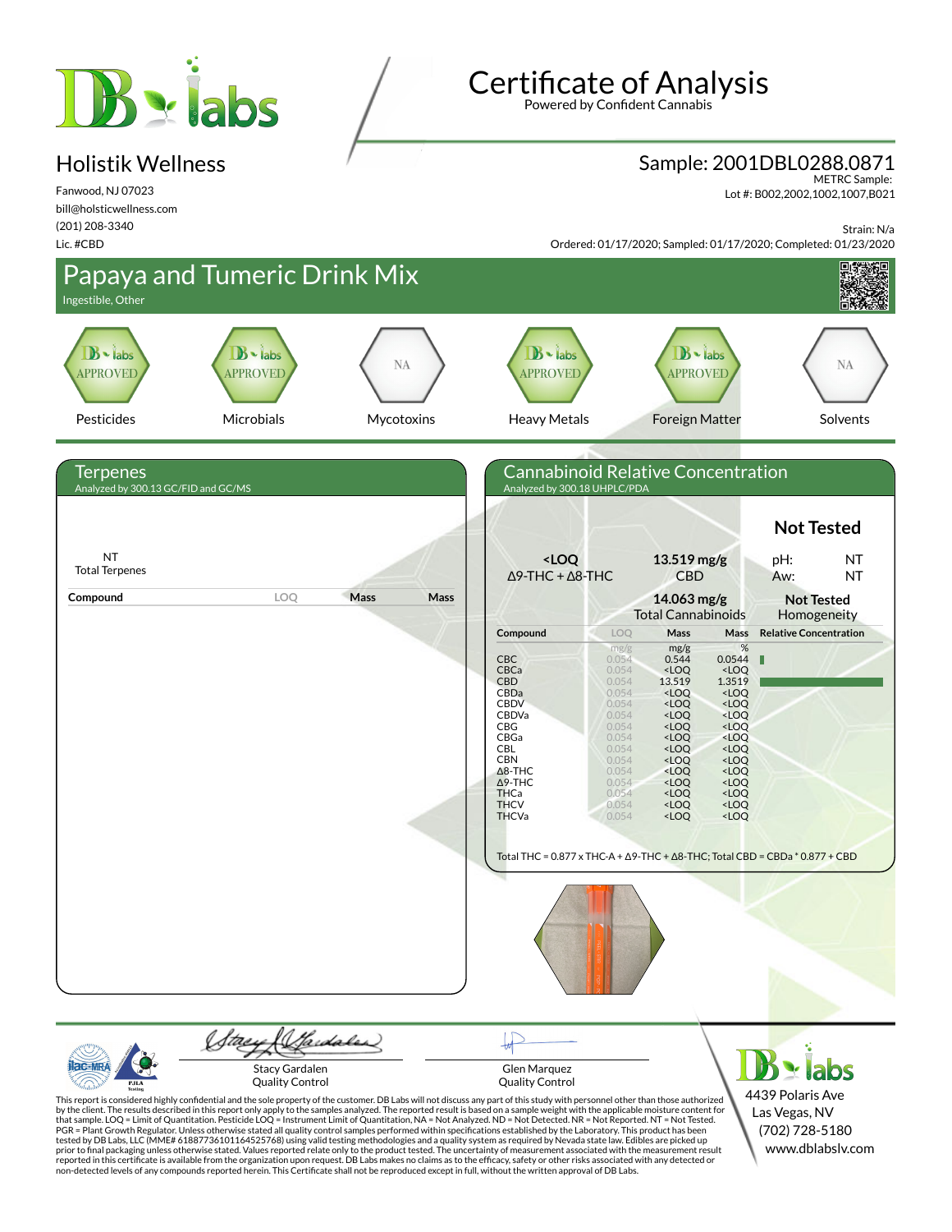# **B** siabs

## Holistik Wellness

Fanwood, NJ 07023 bill@holsticwellness.com (201) 208-3340 Lic. #CBD

Certificate of Analysis Powered by Confident Cannabis

Sample: 2001DBL0288.0871

METRC Sample: Lot #: B002,2002,1002,1007,B021

Strain: N/a

Ordered: 01/17/2020; Sampled: 01/17/2020; Completed: 01/23/2020





Glen Marquez Quality Control

4439 Polaris Ave Las Vegas, NV (702) 728-5180 www.dblabslv.com

This report is considered highly confidential and the sole property of the customer. DB Labs will not discuss any part of this study with personnel other than those authorized<br>by the client. The results described in this r tested by DB Labs, LLC (MME# 61887736101164525768) using valid testing methodologies and a quality system as required by Nevada state law. Edibles are picked up<br>prior to final packaging unless otherwise stated. Values repo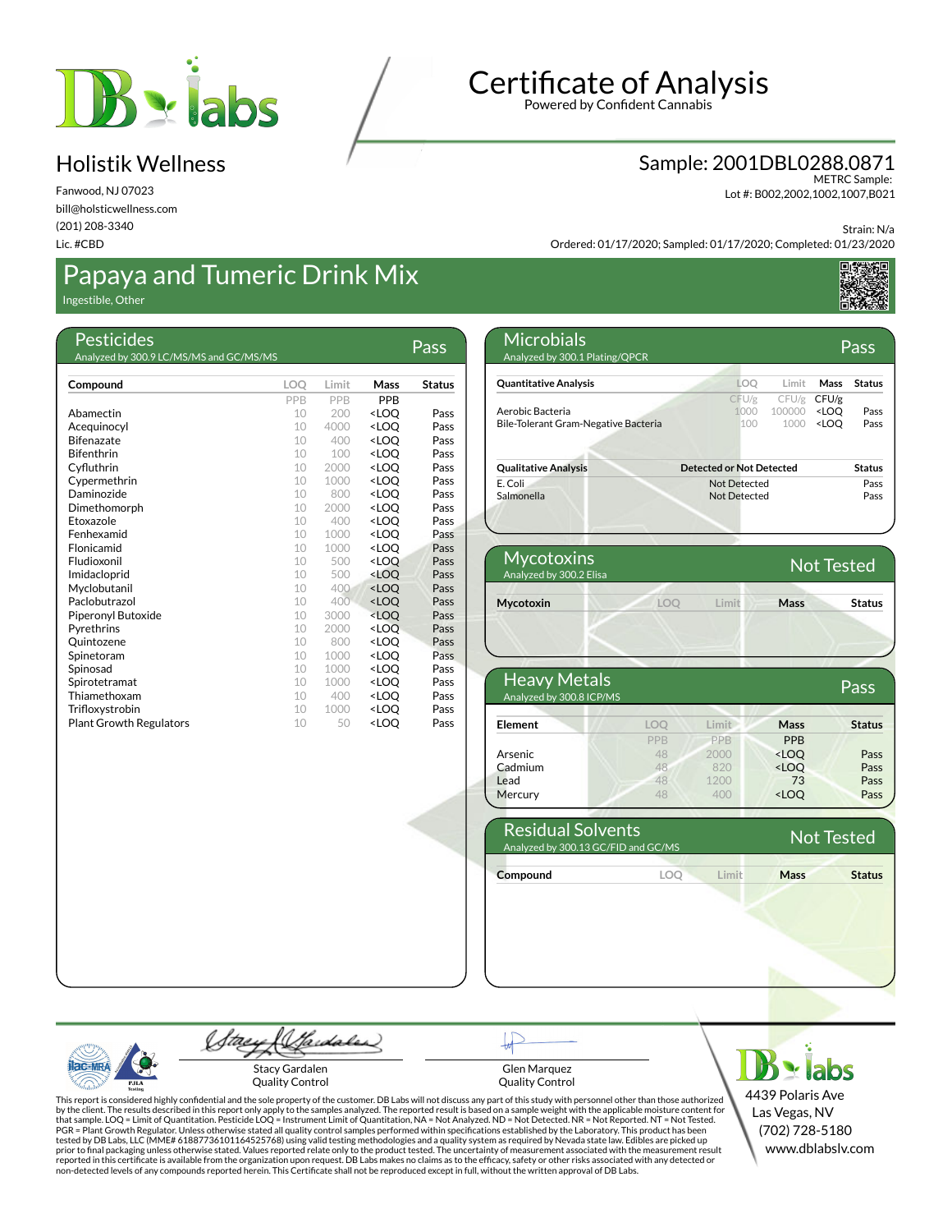

Fanwood, NJ 07023 bill@holsticwellness.com (201) 208-3340 Lic. #CBD

## Papaya and Tumeric Drink Mix

Ingestible, Other

|                                |          | Limit       | Mass                                                       | <b>Status</b> |
|--------------------------------|----------|-------------|------------------------------------------------------------|---------------|
| Compound                       | LOQ      |             |                                                            |               |
|                                | PPB      | <b>PPB</b>  | <b>PPB</b>                                                 |               |
| Abamectin                      | 10       | 200         | <loo< td=""><td>Pass</td></loo<>                           | Pass          |
| Acequinocyl                    | 10       | 4000        | <loo< td=""><td>Pass</td></loo<>                           | Pass          |
| <b>Bifenazate</b>              | 10       | 400         | <loo< td=""><td>Pass</td></loo<>                           | Pass          |
| <b>Bifenthrin</b>              | 10       | 100         | <loq< td=""><td>Pass</td></loq<>                           | Pass          |
| Cyfluthrin                     | 10<br>10 | 2000        | <loo< td=""><td>Pass</td></loo<>                           | Pass          |
| Cypermethrin<br>Daminozide     | 10       | 1000        | <loo< td=""><td>Pass</td></loo<>                           | Pass          |
|                                |          | 800         | <loo< td=""><td>Pass</td></loo<>                           | Pass          |
| Dimethomorph<br>Etoxazole      | 10<br>10 | 2000<br>400 | <loo<br><loq< td=""><td>Pass<br/>Pass</td></loq<></loo<br> | Pass<br>Pass  |
| Fenhexamid                     | 10       | 1000        | <loo< td=""><td>Pass</td></loo<>                           | Pass          |
| Flonicamid                     | 10       | 1000        |                                                            | Pass          |
| Fludioxonil                    | 10       | 500         | <loo<br><loo< td=""><td>Pass</td></loo<></loo<br>          | Pass          |
|                                | 10       | 500         | <loq< td=""><td>Pass</td></loq<>                           | Pass          |
| Imidacloprid<br>Myclobutanil   | 10       | 400         | <loo< td=""><td>Pass</td></loo<>                           | Pass          |
| Paclobutrazol                  | 10       | 400         | <loo< td=""><td>Pass</td></loo<>                           | Pass          |
| Piperonyl Butoxide             | 10       | 3000        | <loo< td=""><td>Pass</td></loo<>                           | Pass          |
| Pyrethrins                     | 10       | 2000        | <loo< td=""><td>Pass</td></loo<>                           | Pass          |
| Quintozene                     | 10       | 800         | <loq< td=""><td>Pass</td></loq<>                           | Pass          |
| Spinetoram                     | 10       | 1000        | <loo< td=""><td>Pass</td></loo<>                           | Pass          |
| Spinosad                       | 10       | 1000        | <loo< td=""><td>Pass</td></loo<>                           | Pass          |
| Spirotetramat                  | 10       | 1000        | <loq< td=""><td>Pass</td></loq<>                           | Pass          |
| Thiamethoxam                   | 10       | 400         | <loo< td=""><td>Pass</td></loo<>                           | Pass          |
| Trifloxystrobin                | 10       | 1000        | <loq< td=""><td>Pass</td></loq<>                           | Pass          |
| <b>Plant Growth Regulators</b> | 10       | 50          | <loo< td=""><td>Pass</td></loo<>                           | Pass          |
|                                |          |             |                                                            |               |

## Certificate of Analysis

Powered by Confident Cannabis

#### Sample: 2001DBL0288.0871

METRC Sample: Lot #: B002,2002,1002,1007,B021

Strain: N/a

Ordered: 01/17/2020; Sampled: 01/17/2020; Completed: 01/23/2020



| Microbials<br>Analyzed by 300.1 Plating/QPCR             |                                 |                         |                                                                     | Pass          |
|----------------------------------------------------------|---------------------------------|-------------------------|---------------------------------------------------------------------|---------------|
| <b>Quantitative Analysis</b>                             | LOO                             | I imit                  | Mass                                                                | <b>Status</b> |
| Aerobic Bacteria<br>Bile-Tolerant Gram-Negative Bacteria | CFU/g<br>1000<br>100            | CFU/g<br>100000<br>1000 | CFU/g<br><loo<br><loo< td=""><td>Pass<br/>Pass</td></loo<></loo<br> | Pass<br>Pass  |
| <b>Qualitative Analysis</b>                              | <b>Detected or Not Detected</b> |                         |                                                                     | <b>Status</b> |
| E. Coli<br>Salmonella                                    | Not Detected<br>Not Detected    |                         |                                                                     | Pass<br>Pass  |
|                                                          |                                 |                         |                                                                     |               |

| <b>Mycotoxins</b><br>Analyzed by 300.2 Elisa |           |        |      | <b>Not Tested</b> |
|----------------------------------------------|-----------|--------|------|-------------------|
| Mycotoxin                                    | $\bigcap$ | I imit | Mass | <b>Status</b>     |
|                                              |           |        |      |                   |

| <b>Heavy Metals</b><br>Analyzed by 300.8 ICP/MS |            |       |                                  | Pass          |
|-------------------------------------------------|------------|-------|----------------------------------|---------------|
| Element                                         | LOO        | Limit | <b>Mass</b>                      | <b>Status</b> |
|                                                 | <b>PPB</b> | PPB   | <b>PPB</b>                       |               |
| <b>Arsenic</b>                                  | 48         | 2000  | <loq< td=""><td>Pass</td></loq<> | Pass          |
| Cadmium                                         | 48         | 820   | $<$ LOQ                          | Pass          |
| Lead                                            | 48         | 1200  | 73                               | Pass          |
| Mercury                                         | 48         | 400   | <loq< td=""><td>Pass</td></loq<> | Pass          |

| <b>Residual Solvents</b><br>Analyzed by 300.13 GC/FID and GC/MS |                     |      | Not Tested    |
|-----------------------------------------------------------------|---------------------|------|---------------|
| Compound                                                        | <b>Limit</b><br>LOC | Mass | <b>Status</b> |
|                                                                 |                     |      |               |

Sardaler tae Stacy Gardalen Quality Control

Glen Marquez Quality Control

This report is considered highly confidential and the sole property of the customer. DB Labs will not discuss any part of this study with personnel other than those authorized<br>by the client. The results described in this r

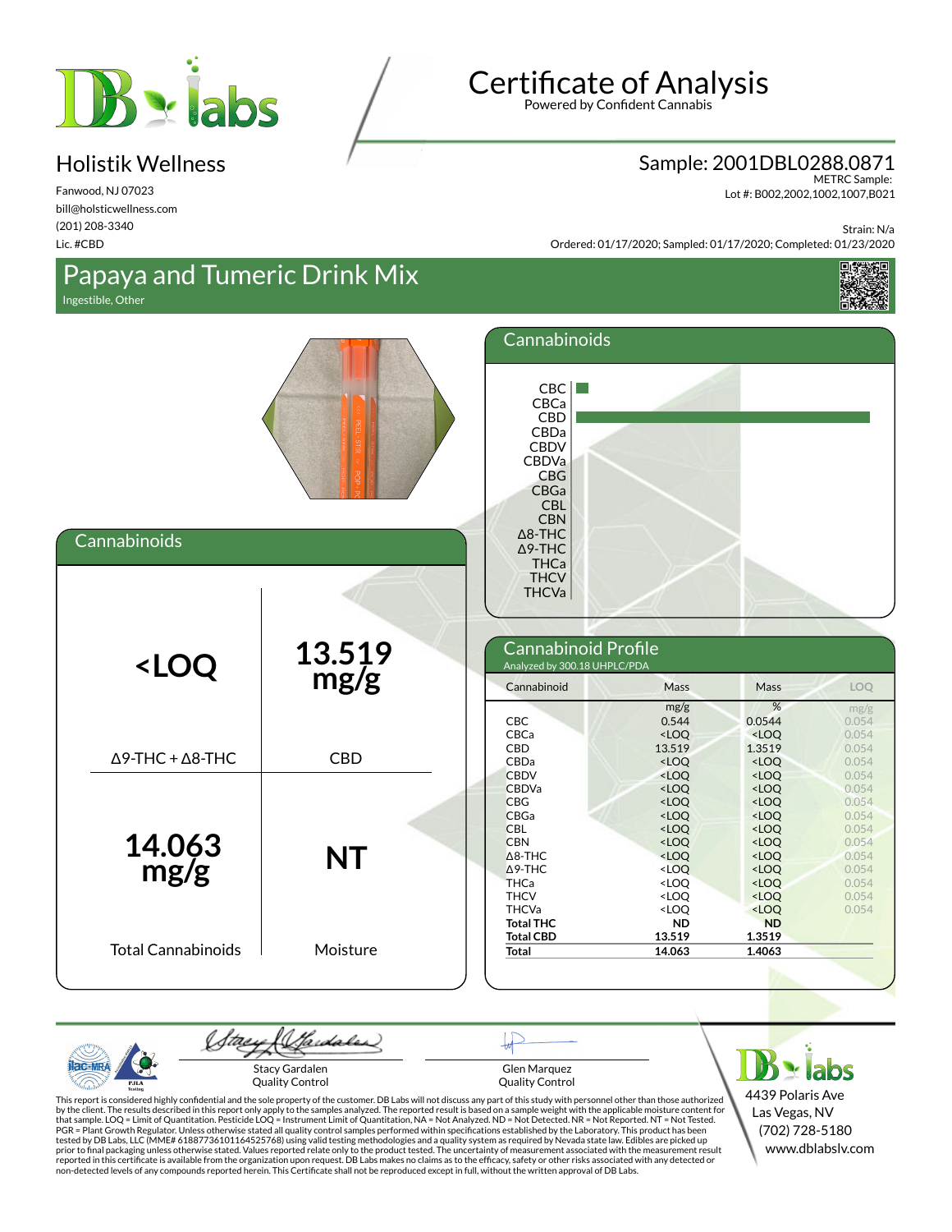

Fanwood, NJ 07023 bill@holsticwellness.com (201) 208-3340 Lic. #CBD

# Certificate of Analysis

Powered by Confident Cannabis

#### Sample: 2001DBL0288.0871

METRC Sample: Lot #: B002,2002,1002,1007,B021

Strain: N/a

**最美观** 

Ordered: 01/17/2020; Sampled: 01/17/2020; Completed: 01/23/2020

## Papaya and Tumeric Drink Mix

Ingestible, Other

**Cannabinoids** 

**AC-MR** 

PJLA

| .<br>----             |                                                                                                                                                                                        |                                         |                                        |                               |
|-----------------------|----------------------------------------------------------------------------------------------------------------------------------------------------------------------------------------|-----------------------------------------|----------------------------------------|-------------------------------|
|                       | Cannabinoids                                                                                                                                                                           |                                         |                                        |                               |
|                       | CBC<br>CBCa<br>CBD<br>CBDa<br><b>CBDV</b><br>CBDVa<br><b>CBG</b><br>CBGa<br><b>CBL</b><br><b>CBN</b><br>$\Delta$ 8-THC<br>$\Delta$ 9-THC<br><b>THCa</b><br><b>THCV</b><br><b>THCVa</b> |                                         |                                        |                               |
| $\frac{13.519}{mg/g}$ | Cannabinoid Profile<br>Analyzed by 300.18 UHPLC/PDA                                                                                                                                    |                                         |                                        |                               |
|                       | Cannabinoid                                                                                                                                                                            | <b>Mass</b>                             | Mass                                   | LOQ                           |
|                       | CBC<br>CBCa<br>CDD                                                                                                                                                                     | mg/g<br>0.544<br><loq<br>12E10</loq<br> | %<br>0.0544<br><loq<br>1.2510</loq<br> | mg/g<br>0.054<br>0.054<br>QQE |

| <loq< th=""><th>8/1 c.c.1<br/>mg</th><th>Carmabhnold i Tonne<br/>Analyzed by 300.18 UHPLC/PDA</th><th></th><th colspan="5"></th></loq<> | 8/1 c.c.1<br>mg       | Carmabhnold i Tonne<br>Analyzed by 300.18 UHPLC/PDA |                                                                                                            |                                       |                |  |  |  |
|-----------------------------------------------------------------------------------------------------------------------------------------|-----------------------|-----------------------------------------------------|------------------------------------------------------------------------------------------------------------|---------------------------------------|----------------|--|--|--|
|                                                                                                                                         |                       | Cannabinoid                                         | Mass                                                                                                       | Mass                                  | LOQ            |  |  |  |
|                                                                                                                                         |                       |                                                     | mg/g                                                                                                       | %                                     | mg/g           |  |  |  |
|                                                                                                                                         |                       | <b>CBC</b>                                          | 0.544                                                                                                      | 0.0544                                | 0.054          |  |  |  |
|                                                                                                                                         |                       | CBCa                                                | $<$ LOQ                                                                                                    | $<$ LOQ                               | 0.054          |  |  |  |
| $\Delta$ 9-THC + $\Delta$ 8-THC                                                                                                         | <b>CBD</b>            | CBD                                                 | 13.519                                                                                                     | 1.3519                                | 0.054          |  |  |  |
|                                                                                                                                         |                       | CBDa                                                | $<$ LOQ                                                                                                    | $<$ LOQ                               | 0.054          |  |  |  |
|                                                                                                                                         |                       | <b>CBDV</b>                                         | <loq< td=""><td><loq< td=""><td>0.054</td></loq<></td></loq<>                                              | <loq< td=""><td>0.054</td></loq<>     | 0.054          |  |  |  |
|                                                                                                                                         |                       | <b>CBDVa</b>                                        | $<$ LOQ                                                                                                    | $<$ LOO                               | 0.054          |  |  |  |
|                                                                                                                                         |                       | <b>CBG</b>                                          | <loq< td=""><td><loq< td=""><td>0.054</td></loq<></td></loq<>                                              | <loq< td=""><td>0.054</td></loq<>     | 0.054          |  |  |  |
|                                                                                                                                         |                       | <b>CBGa</b>                                         | <loq< td=""><td><loq< td=""><td>0.054</td></loq<></td></loq<>                                              | <loq< td=""><td>0.054</td></loq<>     | 0.054          |  |  |  |
|                                                                                                                                         |                       | <b>CBL</b>                                          | <loq< td=""><td><loq< td=""><td>0.054</td></loq<></td></loq<>                                              | <loq< td=""><td>0.054</td></loq<>     | 0.054          |  |  |  |
|                                                                                                                                         |                       | <b>CBN</b>                                          | <loq< td=""><td><loq< td=""><td>0.054</td></loq<></td></loq<>                                              | <loq< td=""><td>0.054</td></loq<>     | 0.054          |  |  |  |
| 14.063<br>mg/g                                                                                                                          | <b>NT</b>             | $\triangle$ 8-THC                                   | $<$ LOO                                                                                                    | $<$ LOO                               | 0.054          |  |  |  |
|                                                                                                                                         |                       | $\Delta$ 9-THC                                      | <loq< td=""><td><loq< td=""><td>0.054</td></loq<></td></loq<>                                              | <loq< td=""><td>0.054</td></loq<>     | 0.054          |  |  |  |
|                                                                                                                                         |                       | <b>THCa</b><br><b>THCV</b>                          | <loq<br><loq< td=""><td><loq<br><math>&lt;</math>LOO</loq<br></td><td>0.054<br/>0.054</td></loq<></loq<br> | <loq<br><math>&lt;</math>LOO</loq<br> | 0.054<br>0.054 |  |  |  |
|                                                                                                                                         |                       | <b>THCVa</b>                                        | <loq< td=""><td><loq< td=""><td>0.054</td></loq<></td></loq<>                                              | <loq< td=""><td>0.054</td></loq<>     | 0.054          |  |  |  |
|                                                                                                                                         |                       | <b>Total THC</b>                                    | <b>ND</b>                                                                                                  | <b>ND</b>                             |                |  |  |  |
|                                                                                                                                         |                       | <b>Total CBD</b>                                    | 13.519                                                                                                     | 1.3519                                |                |  |  |  |
| <b>Total Cannabinoids</b>                                                                                                               | Moisture              | Total                                               | 14.063                                                                                                     | 1.4063                                |                |  |  |  |
|                                                                                                                                         |                       |                                                     |                                                                                                            |                                       |                |  |  |  |
|                                                                                                                                         |                       |                                                     |                                                                                                            |                                       |                |  |  |  |
|                                                                                                                                         |                       |                                                     |                                                                                                            |                                       |                |  |  |  |
|                                                                                                                                         | Hardales              |                                                     |                                                                                                            |                                       |                |  |  |  |
|                                                                                                                                         | <b>Stacy Gardalen</b> | Glen Marquez                                        |                                                                                                            |                                       |                |  |  |  |

Quality Control

Glen Marquez Quality Control **D** x labs 4439 Polaris Ave Las Vegas, NV (702) 728-5180 www.dblabslv.com

This report is considered highly confidential and the sole property of the customer. DB Labs will not discuss any part of this study with personnel other than those authorized<br>by the client. The results described in this r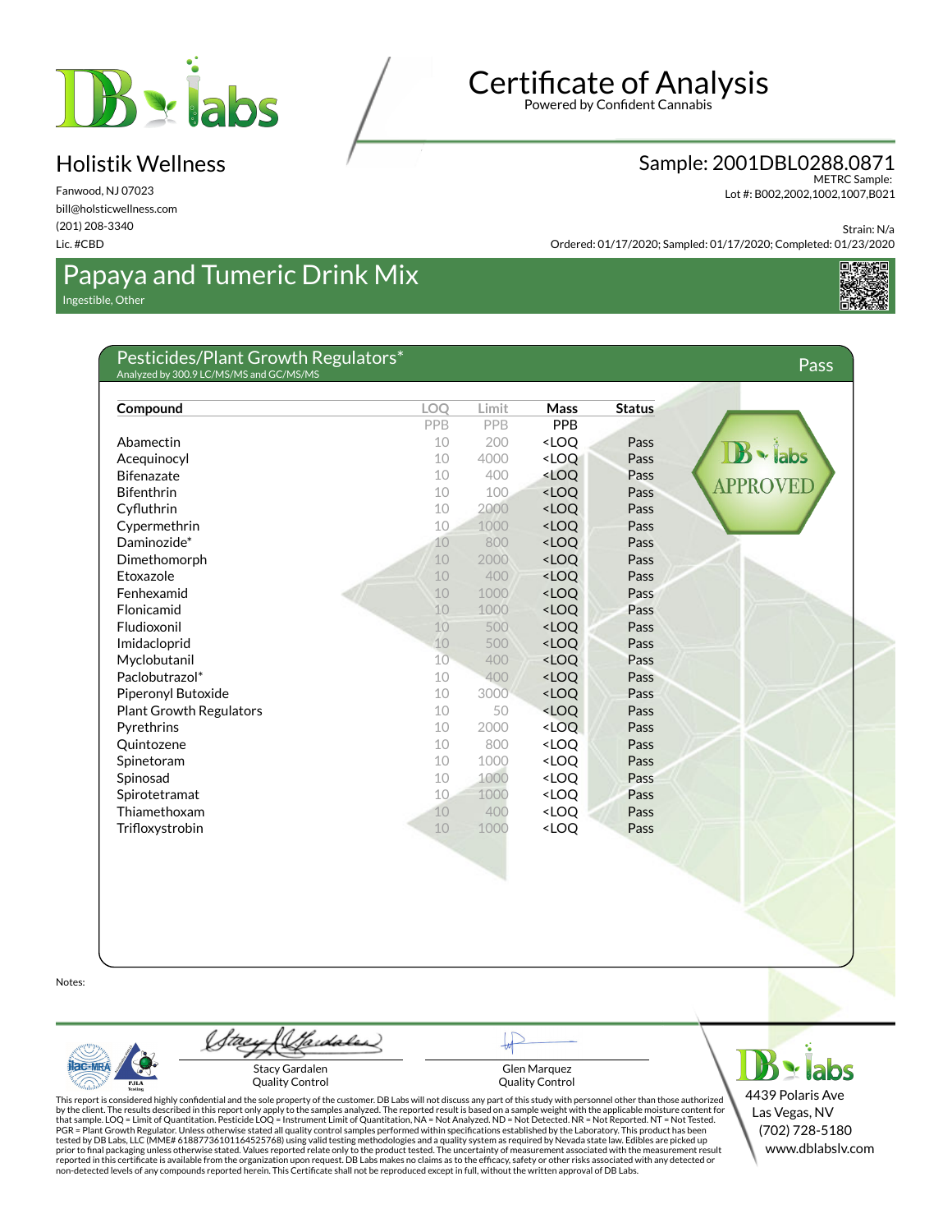

Fanwood, NJ 07023 bill@holsticwellness.com (201) 208-3340 Lic. #CBD

# Certificate of Analysis

Powered by Confident Cannabis

#### Sample: 2001DBL0288.0871

METRC Sample: Lot #: B002,2002,1002,1007,B021

Strain: N/a

Ordered: 01/17/2020; Sampled: 01/17/2020; Completed: 01/23/2020

# Papaya and Tumeric Drink Mix

Ingestible, Other



#### Pesticides/Plant Growth Regulators\* Analyzed by 300.9 LC/MS/MS and GC/MS/MS Pass **Compound LOQ Limit Mass Status** PPB PPB PPB Abamectin 10 200 <LOQ Pass labs Acequinocyl **Acequinocyl 10 4000 <LOQ Pass** Bifenazate 10 400 <LOQ Pass **PPROVED** Bifenthrin 200 and 200 and 200 and 200 and 200 and 200 and 200 and 201 and 201 and 201 and 201 and 201 and 201 CyØuthrin 10 2000 <LOQ Pass Cypermethrin 10 1000 <LOQ Pass Daminozide\* 10 800 <LOQ Pass Dimethomorph 10 2000 <LOQ Pass Etoxazole 10 400 <LOQ Pass Fenhexamid **10 1000 <LOQ** Pass Flonicamid 10 1000 <LOQ Pass Fludioxonil 10 500 <LOQ Pass Imidacloprid 10 500 <LOQ Pass Myclobutanil 10 400 <LOQ Pass Paclobutrazol\* 10 400 <LOQ Pass Piperonyl Butoxide **10 3000 <LOQ** Pass Plant Growth Regulators 10 50 <LOQ Pass Pyrethrins **Properties Particle 2000** <LOO Pass Quintozene 10 800 <LOQ Pass Spinetoram 10 1000 <LOQ Pass Spinosad **10 1000 <LOQ** Pass Spirotetramat 10 1000 <LOQ Pass Thiamethoxam 10 400 <LOQ Pass Trifloxystrobin 10 1000 <LOQ Pass

Notes:



Hardaler Stacy Gardalen Quality Control

Glen Marquez Quality Control

 $B \times$  labs 4439 Polaris Ave Las Vegas, NV (702) 728-5180 www.dblabslv.com

This report is considered highly confidential and the sole property of the customer. DB Labs will not discuss any part of this study with personnel other than those authorized<br>by the client. The results described in this r tested by DB Labs, LLC (MME# 61887736101164525768) using valid testing methodologies and a quality system as required by Nevada state law. Edibles are picked up<br>prior to final packaging unless otherwise stated. Values repo